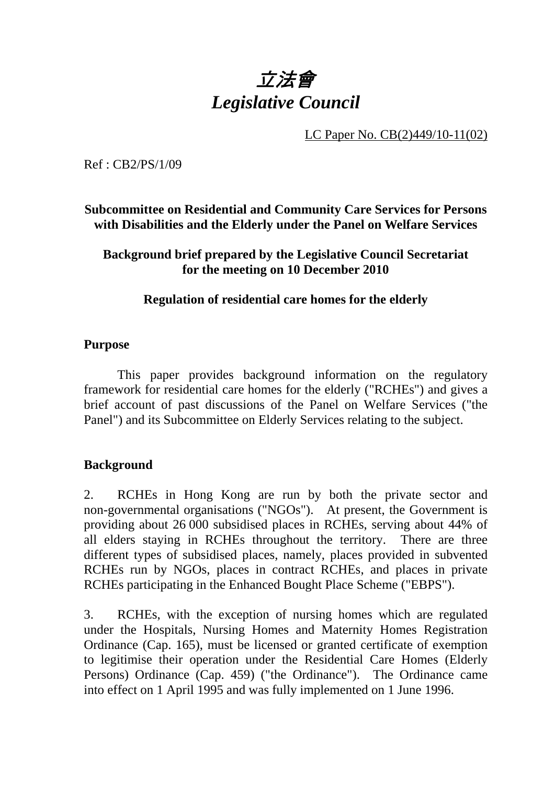# 立法會 *Legislative Council*

LC Paper No. CB(2)449/10-11(02)

Ref : CB2/PS/1/09

## **Subcommittee on Residential and Community Care Services for Persons with Disabilities and the Elderly under the Panel on Welfare Services**

### **Background brief prepared by the Legislative Council Secretariat for the meeting on 10 December 2010**

## **Regulation of residential care homes for the elderly**

#### **Purpose**

This paper provides background information on the regulatory framework for residential care homes for the elderly ("RCHEs") and gives a brief account of past discussions of the Panel on Welfare Services ("the Panel") and its Subcommittee on Elderly Services relating to the subject.

## **Background**

2. RCHEs in Hong Kong are run by both the private sector and non-governmental organisations ("NGOs"). At present, the Government is providing about 26,000 subsidised places in RCHEs, serving about 44% of all elders staying in RCHEs throughout the territory. There are three different types of subsidised places, namely, places provided in subvented RCHEs run by NGOs, places in contract RCHEs, and places in private RCHEs participating in the Enhanced Bought Place Scheme ("EBPS").

3. RCHEs, with the exception of nursing homes which are regulated under the Hospitals, Nursing Homes and Maternity Homes Registration Ordinance (Cap. 165), must be licensed or granted certificate of exemption to legitimise their operation under the Residential Care Homes (Elderly Persons) Ordinance (Cap. 459) ("the Ordinance"). The Ordinance came into effect on 1 April 1995 and was fully implemented on 1 June 1996.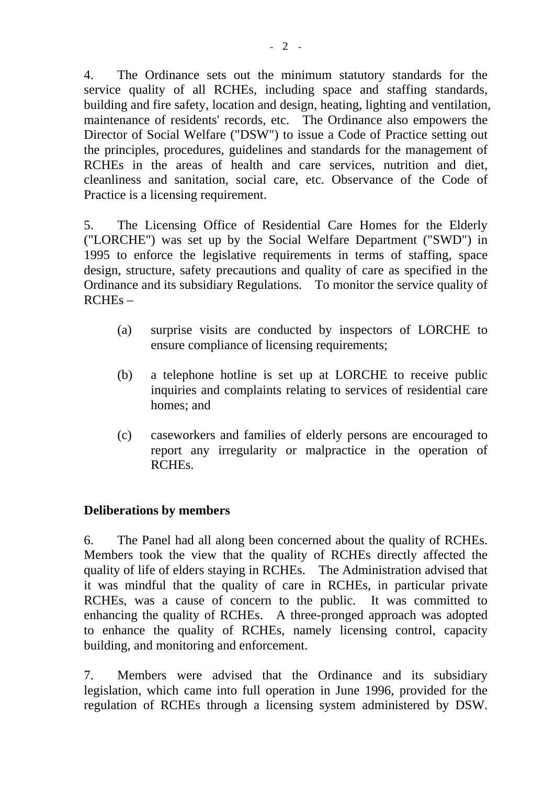4. The Ordinance sets out the minimum statutory standards for the service quality of all RCHEs, including space and staffing standards, building and fire safety, location and design, heating, lighting and ventilation, maintenance of residents' records, etc. The Ordinance also empowers the Director of Social Welfare ("DSW") to issue a Code of Practice setting out the principles, procedures, guidelines and standards for the management of RCHEs in the areas of health and care services, nutrition and diet, cleanliness and sanitation, social care, etc. Observance of the Code of Practice is a licensing requirement.

5. The Licensing Office of Residential Care Homes for the Elderly ("LORCHE") was set up by the Social Welfare Department ("SWD") in 1995 to enforce the legislative requirements in terms of staffing, space design, structure, safety precautions and quality of care as specified in the Ordinance and its subsidiary Regulations. To monitor the service quality of RCHEs –

- (a) surprise visits are conducted by inspectors of LORCHE to ensure compliance of licensing requirements;
- (b) a telephone hotline is set up at LORCHE to receive public inquiries and complaints relating to services of residential care homes; and
- (c) caseworkers and families of elderly persons are encouraged to report any irregularity or malpractice in the operation of RCHEs.

#### **Deliberations by members**

6. The Panel had all along been concerned about the quality of RCHEs. Members took the view that the quality of RCHEs directly affected the quality of life of elders staying in RCHEs. The Administration advised that it was mindful that the quality of care in RCHEs, in particular private RCHEs, was a cause of concern to the public. It was committed to enhancing the quality of RCHEs. A three-pronged approach was adopted to enhance the quality of RCHEs, namely licensing control, capacity building, and monitoring and enforcement.

7. Members were advised that the Ordinance and its subsidiary legislation, which came into full operation in June 1996, provided for the regulation of RCHEs through a licensing system administered by DSW.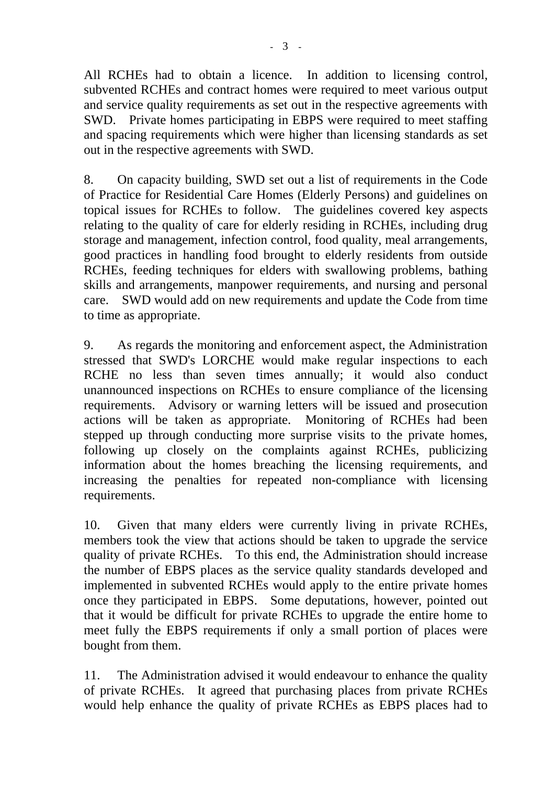All RCHEs had to obtain a licence. In addition to licensing control, subvented RCHEs and contract homes were required to meet various output and service quality requirements as set out in the respective agreements with SWD. Private homes participating in EBPS were required to meet staffing and spacing requirements which were higher than licensing standards as set out in the respective agreements with SWD.

8. On capacity building, SWD set out a list of requirements in the Code of Practice for Residential Care Homes (Elderly Persons) and guidelines on topical issues for RCHEs to follow. The guidelines covered key aspects relating to the quality of care for elderly residing in RCHEs, including drug storage and management, infection control, food quality, meal arrangements, good practices in handling food brought to elderly residents from outside RCHEs, feeding techniques for elders with swallowing problems, bathing skills and arrangements, manpower requirements, and nursing and personal care. SWD would add on new requirements and update the Code from time to time as appropriate.

9. As regards the monitoring and enforcement aspect, the Administration stressed that SWD's LORCHE would make regular inspections to each RCHE no less than seven times annually; it would also conduct unannounced inspections on RCHEs to ensure compliance of the licensing requirements. Advisory or warning letters will be issued and prosecution actions will be taken as appropriate. Monitoring of RCHEs had been stepped up through conducting more surprise visits to the private homes, following up closely on the complaints against RCHEs, publicizing information about the homes breaching the licensing requirements, and increasing the penalties for repeated non-compliance with licensing requirements.

10. Given that many elders were currently living in private RCHEs, members took the view that actions should be taken to upgrade the service quality of private RCHEs. To this end, the Administration should increase the number of EBPS places as the service quality standards developed and implemented in subvented RCHEs would apply to the entire private homes once they participated in EBPS. Some deputations, however, pointed out that it would be difficult for private RCHEs to upgrade the entire home to meet fully the EBPS requirements if only a small portion of places were bought from them.

11. The Administration advised it would endeavour to enhance the quality of private RCHEs. It agreed that purchasing places from private RCHEs would help enhance the quality of private RCHEs as EBPS places had to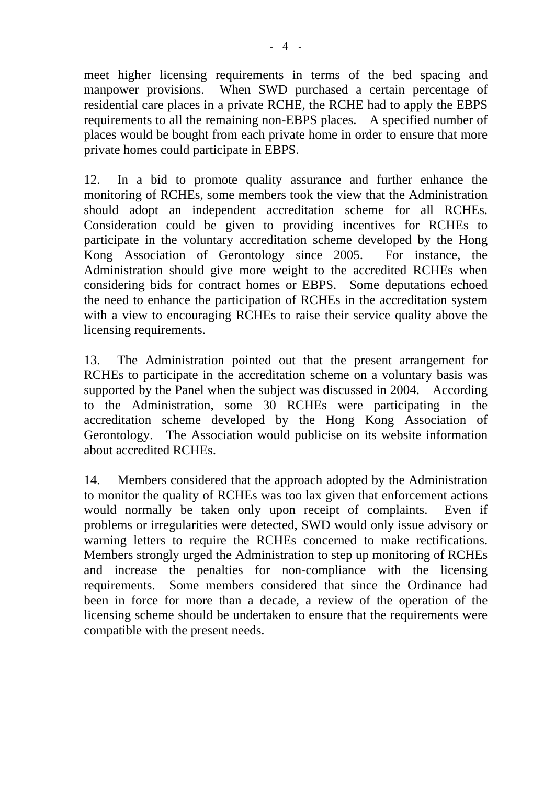meet higher licensing requirements in terms of the bed spacing and manpower provisions. When SWD purchased a certain percentage of residential care places in a private RCHE, the RCHE had to apply the EBPS requirements to all the remaining non-EBPS places. A specified number of places would be bought from each private home in order to ensure that more private homes could participate in EBPS.

12. In a bid to promote quality assurance and further enhance the monitoring of RCHEs, some members took the view that the Administration should adopt an independent accreditation scheme for all RCHEs. Consideration could be given to providing incentives for RCHEs to participate in the voluntary accreditation scheme developed by the Hong Kong Association of Gerontology since 2005. For instance, the Administration should give more weight to the accredited RCHEs when considering bids for contract homes or EBPS. Some deputations echoed the need to enhance the participation of RCHEs in the accreditation system with a view to encouraging RCHEs to raise their service quality above the licensing requirements.

13. The Administration pointed out that the present arrangement for RCHEs to participate in the accreditation scheme on a voluntary basis was supported by the Panel when the subject was discussed in 2004. According to the Administration, some 30 RCHEs were participating in the accreditation scheme developed by the Hong Kong Association of Gerontology. The Association would publicise on its website information about accredited RCHEs.

14. Members considered that the approach adopted by the Administration to monitor the quality of RCHEs was too lax given that enforcement actions would normally be taken only upon receipt of complaints. Even if problems or irregularities were detected, SWD would only issue advisory or warning letters to require the RCHEs concerned to make rectifications. Members strongly urged the Administration to step up monitoring of RCHEs and increase the penalties for non-compliance with the licensing requirements. Some members considered that since the Ordinance had been in force for more than a decade, a review of the operation of the licensing scheme should be undertaken to ensure that the requirements were compatible with the present needs.